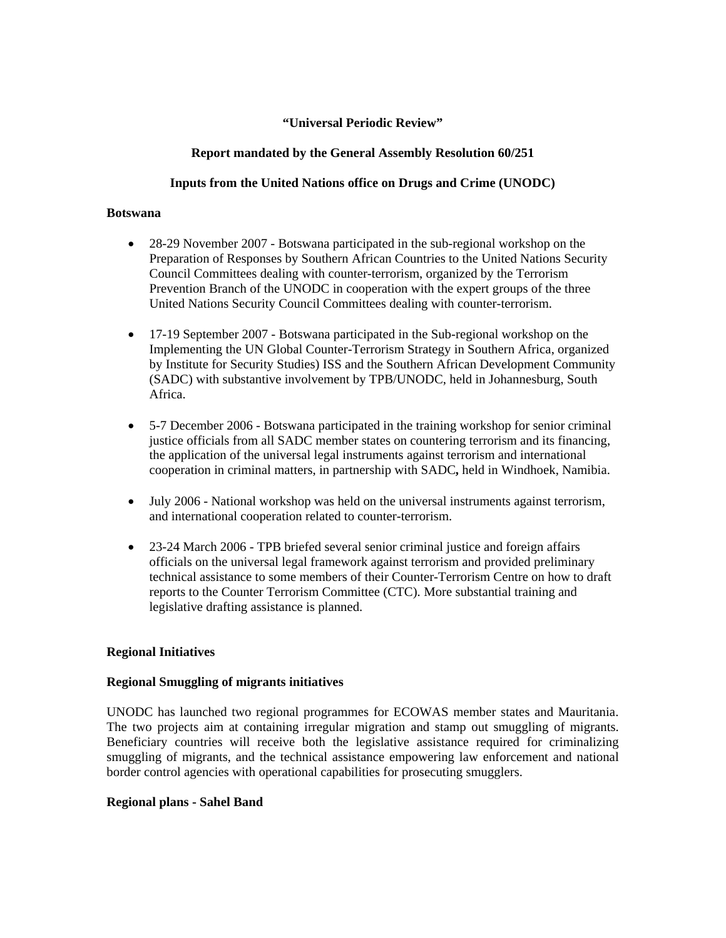### **"Universal Periodic Review"**

# **Report mandated by the General Assembly Resolution 60/251**

# **Inputs from the United Nations office on Drugs and Crime (UNODC)**

#### **Botswana**

- 28-29 November 2007 Botswana participated in the sub-regional workshop on the Preparation of Responses by Southern African Countries to the United Nations Security Council Committees dealing with counter-terrorism, organized by the Terrorism Prevention Branch of the UNODC in cooperation with the expert groups of the three United Nations Security Council Committees dealing with counter-terrorism.
- 17-19 September 2007 Botswana participated in the Sub-regional workshop on the Implementing the UN Global Counter-Terrorism Strategy in Southern Africa, organized by Institute for Security Studies) ISS and the Southern African Development Community (SADC) with substantive involvement by TPB/UNODC, held in Johannesburg, South Africa.
- 5-7 December 2006 Botswana participated in the training workshop for senior criminal justice officials from all SADC member states on countering terrorism and its financing, the application of the universal legal instruments against terrorism and international cooperation in criminal matters, in partnership with SADC**,** held in Windhoek, Namibia.
- July 2006 National workshop was held on the universal instruments against terrorism, and international cooperation related to counter-terrorism.
- 23-24 March 2006 TPB briefed several senior criminal justice and foreign affairs officials on the universal legal framework against terrorism and provided preliminary technical assistance to some members of their Counter-Terrorism Centre on how to draft reports to the Counter Terrorism Committee (CTC). More substantial training and legislative drafting assistance is planned.

### **Regional Initiatives**

### **Regional Smuggling of migrants initiatives**

UNODC has launched two regional programmes for ECOWAS member states and Mauritania. The two projects aim at containing irregular migration and stamp out smuggling of migrants. Beneficiary countries will receive both the legislative assistance required for criminalizing smuggling of migrants, and the technical assistance empowering law enforcement and national border control agencies with operational capabilities for prosecuting smugglers.

### **Regional plans - Sahel Band**